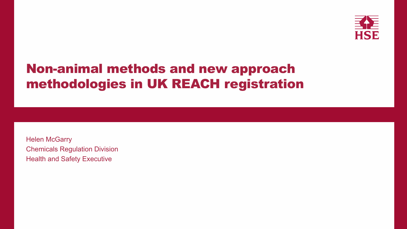# **Non-animal methods and new approach** methodologies in UK REACH registration

**Helen McGarry Chemicals Regulation Division Health and Safety Executive** 

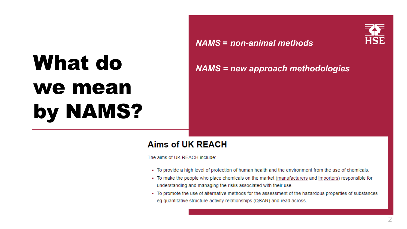# What do we mean by NAMS?

### **Aims of UK REACH**

The aims of UK REACH include:

- 
- 
- 

### *NAMS* **=** *non-animal methods*



### *NAMS = new approach methodologies*

- To provide a high level of protection of human health and the environment from the use of chemicals.

• To make the people who place chemicals on the market (manufacturers and importers) responsible for understanding and managing the risks associated with their use.

• To promote the use of alternative methods for the assessment of the hazardous properties of substances eg quantitative structure-activity relationships (QSAR) and read across.

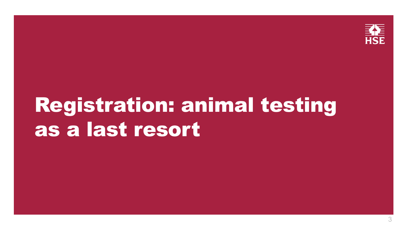# Registration: animal testing as a last resort



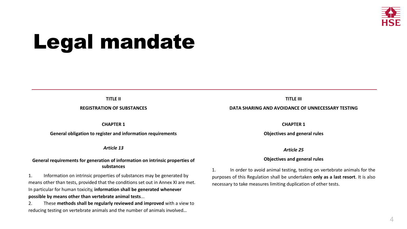# Legal mandate

#### **TITLE II**

#### **REGISTRATION OF SUBSTANCES**

#### **CHAPTER 1**

#### **General obligation to register and information requirements**

#### *Article 13*

#### **General requirements for generation of information on intrinsic properties of substances**

2. These **methods shall be regularly reviewed and improved** with a view to reducing testing on vertebrate animals and the number of animals involved…

1. Information on intrinsic properties of substances may be generated by means other than tests, provided that the conditions set out in Annex XI are met. In particular for human toxicity, **information shall be generated whenever possible by means other than vertebrate animal tests**... 1. In order to avoid animal testing, testing on vertebrate animals for the purposes of this Regulation shall be undertaken **only as a last resort**. It is also necessary to take measures limiting duplication of other tests.

4

#### **TITLE III**

#### **DATA SHARING AND AVOIDANCE OF UNNECESSARY TESTING**

#### **CHAPTER 1**

#### **Objectives and general rules**

#### *Article 25*

#### **Objectives and general rules**

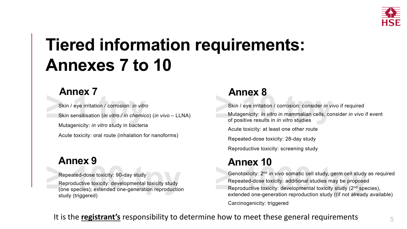# **Tiered information requirements: Annexes 7 to 10**

# **Annex 7**

Skin / eye irritation / corrosion: *in vitro* Skin sensitisation (*in vitro / in chemico*) (*in vivo* – LLNA) Mutagenicity: *in vitro* study in bacteria Acute toxicity: oral route (inhalation for nanoforms)

Repeated-dose toxicity: 90-day study

Reproductive toxicity: developmental toxicity study (one species); extended one-generation reproduction study (triggered)

## **Annex 9**

5

## **Annex 8**

Skin / eye irritation / corrosion: consider *in vivo* if required Mutagenicity: *in vitro* in mammalian cells, consider *in vivo* if event of positive results in *in vitro* studies

Acute toxicity: at least one other route

Repeated-dose toxicity: 28-day study

Reproductive toxicity: screening study

Genotoxicity: 2nd *in vivo* somatic cell study, germ cell study as required Repeated-dose toxicity: additional studies may be proposed Reproductive toxicity: developmental toxicity study (2<sup>nd</sup> species), extended one-generation reproduction study ((if not already available)

Carcinogenicity: triggered

## **Annex 10**

It is the **registrant's** responsibility to determine how to meet these general requirements

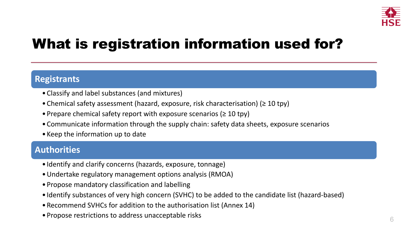# What is registration information used for?

- •Classify and label substances (and mixtures)
- •Chemical safety assessment (hazard, exposure, risk characterisation) (≥ 10 tpy)
- Prepare chemical safety report with exposure scenarios ( $\geq 10$  tpy)
- •Communicate information through the supply chain: safety data sheets, exposure scenarios
- Keep the information up to date

6

### **Registrants**

### **Authorities**

- Identify and clarify concerns (hazards, exposure, tonnage)
- •Undertake regulatory management options analysis (RMOA)
- Propose mandatory classification and labelling
- 
- Identify substances of very high concern (SVHC) to be added to the candidate list (hazard-based) •Recommend SVHCs for addition to the authorisation list (Annex 14)
- Propose restrictions to address unacceptable risks
- 

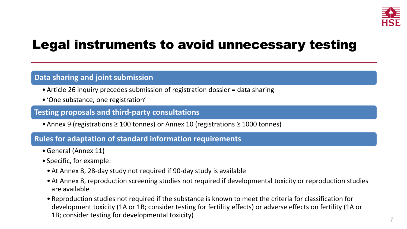# Legal instruments to avoid unnecessary testing

7

### **Data sharing and joint submission**

- Article 26 inquiry precedes submission of registration dossier = data sharing
- 'One substance, one registration'

#### **Testing proposals and third-party consultations**

• Annex 9 (registrations ≥ 100 tonnes) or Annex 10 (registrations ≥ 1000 tonnes)

#### **Rules for adaptation of standard information requirements**

• At Annex 8, reproduction screening studies not required if developmental toxicity or reproduction studies

- •General (Annex 11)
- Specific, for example:
	- At Annex 8, 28-day study not required if 90-day study is available
	- are available
	- 1B; consider testing for developmental toxicity)

• Reproduction studies not required if the substance is known to meet the criteria for classification for development toxicity (1A or 1B; consider testing for fertility effects) or adverse effects on fertility (1A or

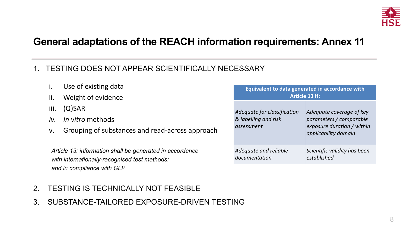# **General adaptations of the REACH information requirements: Annex 11**

- i. Use of existing data
- ii. Weight of evidence
- iii. (Q)SAR
- *iv. In vitro* methods
- v. Grouping of substances and read-across a

### 1. TESTING DOES NOT APPEAR SCIENTIFICALLY NECESSARY

Article 13: information shall be generated in accordan *with internationally-recognised test methods; and in compliance with GLP*

- 2. TESTING IS TECHNICALLY NOT FEASIBLE
- 3. SUBSTANCE-TAILORED EXPOSURE-DRIVEN TESTING

8

|            | Equivalent to data generated in accordance with<br><b>Article 13 if:</b> |                                                                                                           |  |  |  |
|------------|--------------------------------------------------------------------------|-----------------------------------------------------------------------------------------------------------|--|--|--|
| approach   | Adequate for classification<br>& labelling and risk<br>assessment        | Adequate coverage of key<br>parameters / comparable<br>exposure duration / within<br>applicability domain |  |  |  |
| <i>псе</i> | Adequate and reliable<br>documentation                                   | Scientific validity has been<br>established                                                               |  |  |  |

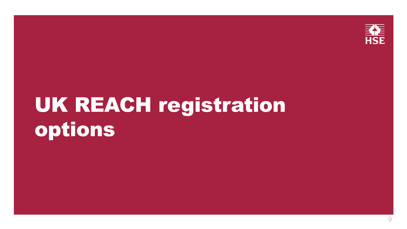# UK REACH registration options



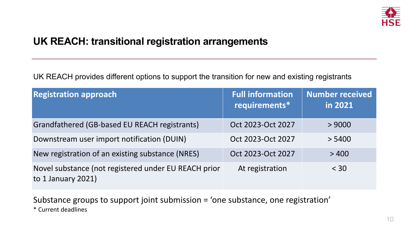# **UK REACH: transitional registration arrangements**

UK REACH provides different options to support the transition for new and existing registrants

**Registration approach** 

Grandfathered (GB-based EU REACH registrant

Downstream user import notification (DUIN)

New registration of an existing substance (NRE

10

Novel substance (not registered under EU REA to 1 January 2021)

|            | <b>Full information</b><br>requirements* | <b>Number received</b><br>in 2021 |
|------------|------------------------------------------|-----------------------------------|
| ts)        | Oct 2023-Oct 2027                        | > 9000                            |
|            | Oct 2023-Oct 2027                        | > 5400                            |
| <b>ES)</b> | Oct 2023-Oct 2027                        | >400                              |
| CH prior   | At registration                          | $<$ 30                            |



Substance groups to support joint submission = 'one substance, one registration' \* Current deadlines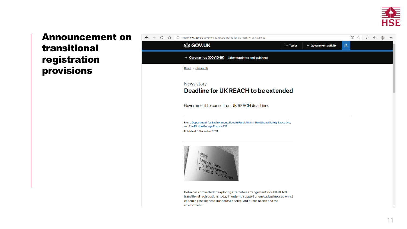### **Announcement on** transitional registration provisions



Defra has committed to exploring alternative arrangements for UK REACH transitional registrations today in order to support chemical businesses whilst upholding the highest standards to safeguard public health and the environment.

| ww.gov.uk/government/news/deadline-for-uk-reach-to-be-extended |               |                            |          | 다 1층 1층 | - ශ |  |
|----------------------------------------------------------------|---------------|----------------------------|----------|---------|-----|--|
| <b>GOV.UK</b>                                                  | $\vee$ Topics | $\vee$ Government activity | $\alpha$ |         |     |  |
| <b>Coronavirus (COVID-19)</b> Latest updates and guidance      |               |                            |          |         |     |  |

# Deadline for UK REACH to be extended

Government to consult on UK REACH deadlines

From: Department for Environment, Food & Rural Affairs, Health and Safety Executive,



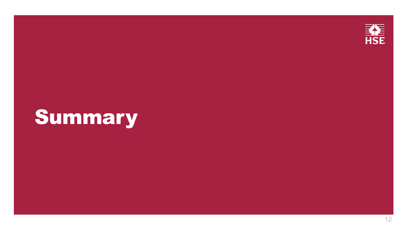# Summary



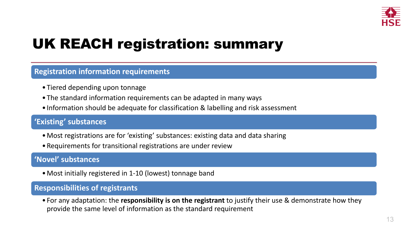# UK REACH registration: summary

13

- Tiered depending upon tonnage
- The standard information requirements can be adapted in many ways
- Information should be adequate for classification & labelling and risk assessment

#### **Registration information requirements**

#### **'Existing' substances**

- •Most registrations are for 'existing' substances: existing data and data sharing
- •Requirements for transitional registrations are under review

#### **'Novel' substances**

•Most initially registered in 1-10 (lowest) tonnage band

### **Responsibilities of registrants**

• For any adaptation: the **responsibility is on the registrant** to justify their use & demonstrate how they



provide the same level of information as the standard requirement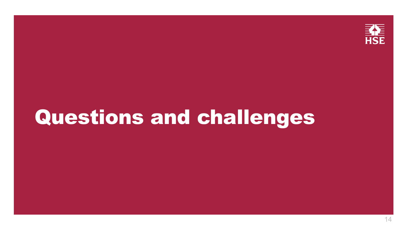# Questions and challenges